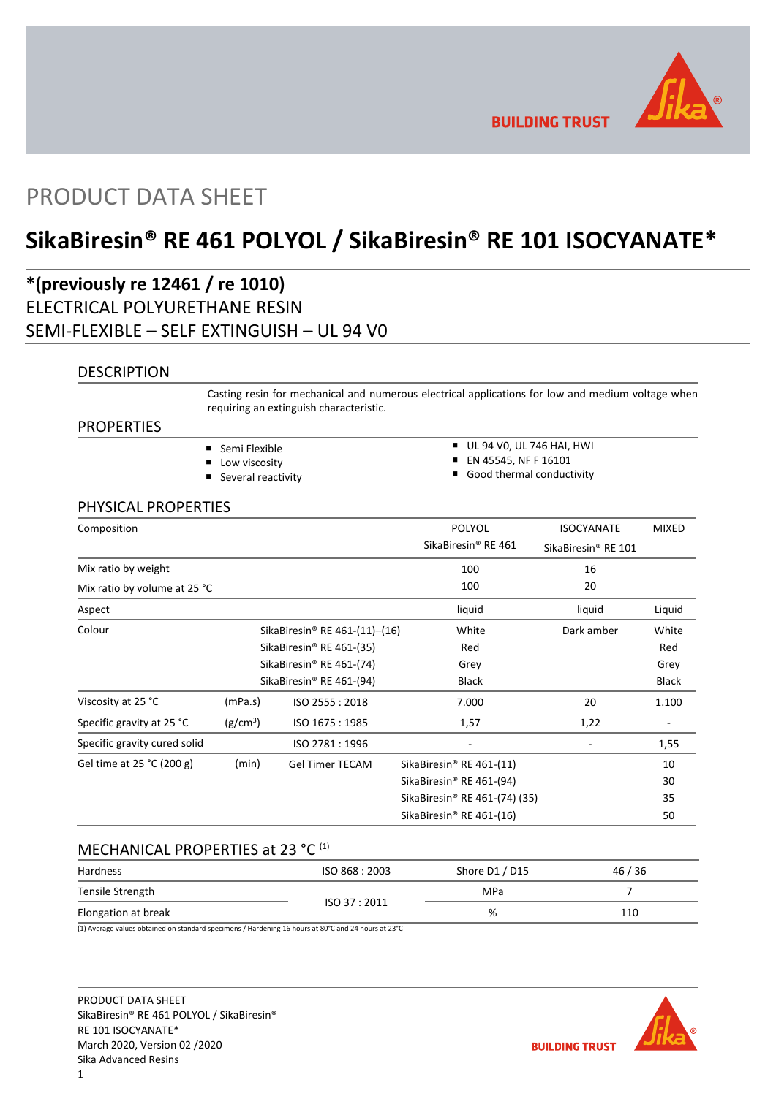

**BUILDING TRUST** 

# PRODUCT DATA SHEET

# **SikaBiresin® RE 461 POLYOL / SikaBiresin® RE 101 ISOCYANATE\***

## **\*(previously re 12461 / re 1010)** ELECTRICAL POLYURETHANE RESIN SEMI-FLEXIBLE – SELF EXTINGUISH – UL 94 V0

## **DESCRIPTION**

Casting resin for mechanical and numerous electrical applications for low and medium voltage when requiring an extinguish characteristic.

## PROPERTIES

- Semi Flexible
- **Low viscosity**
- Several reactivity
- UL 94 VO, UL 746 HAI, HWI
- **EN 45545, NF F 16101**
- Good thermal conductivity

## PHYSICAL PROPERTIES

| Composition                  |                                           |                                      | <b>POLYOL</b>                             | <b>ISOCYANATE</b>   | <b>MIXED</b> |
|------------------------------|-------------------------------------------|--------------------------------------|-------------------------------------------|---------------------|--------------|
|                              |                                           |                                      | SikaBiresin® RE 461                       | SikaBiresin® RE 101 |              |
| Mix ratio by weight          |                                           |                                      | 100                                       | 16                  |              |
| Mix ratio by volume at 25 °C |                                           |                                      | 100                                       | 20                  |              |
| Aspect                       |                                           |                                      | liquid                                    | liquid              | Liquid       |
| Colour                       | SikaBiresin <sup>®</sup> RE 461-(11)-(16) |                                      | White                                     | Dark amber          | White        |
|                              | SikaBiresin® RE 461-(35)                  |                                      | Red                                       |                     | Red          |
|                              |                                           | SikaBiresin <sup>®</sup> RE 461-(74) | Grey                                      |                     | Grey         |
|                              | SikaBiresin® RE 461-(94)                  |                                      | Black                                     |                     | <b>Black</b> |
| Viscosity at 25 °C           | (mPa.s)                                   | ISO 2555: 2018                       | 7.000                                     | 20                  | 1.100        |
| Specific gravity at 25 °C    | (g/cm <sup>3</sup> )                      | ISO 1675: 1985                       | 1,57                                      | 1,22                |              |
| Specific gravity cured solid |                                           | ISO 2781: 1996                       |                                           |                     | 1,55         |
| Gel time at 25 °C (200 g)    | (min)                                     | <b>Gel Timer TECAM</b>               | SikaBiresin® RE 461-(11)                  |                     | 10           |
|                              |                                           |                                      | SikaBiresin® RE 461-(94)                  |                     | 30           |
|                              |                                           |                                      | SikaBiresin <sup>®</sup> RE 461-(74) (35) |                     | 35           |
|                              |                                           |                                      | SikaBiresin® RE 461-(16)                  |                     | 50           |

## MECHANICAL PROPERTIES at 23 °C (1)

| Hardness            | ISO 868: 2003 | Shore D1 / D15 | 46/36 |
|---------------------|---------------|----------------|-------|
| Tensile Strength    |               | MPa            |       |
| Elongation at break | ISO 37:2011   | %              | 110   |

(1) Average values obtained on standard specimens / Hardening 16 hours at 80°C and 24 hours at 23°C

PRODUCT DATA SHEET SikaBiresin® RE 461 POLYOL / SikaBiresin® RE 101 ISOCYANATE\* March 2020, Version 02 /2020 Sika Advanced Resins

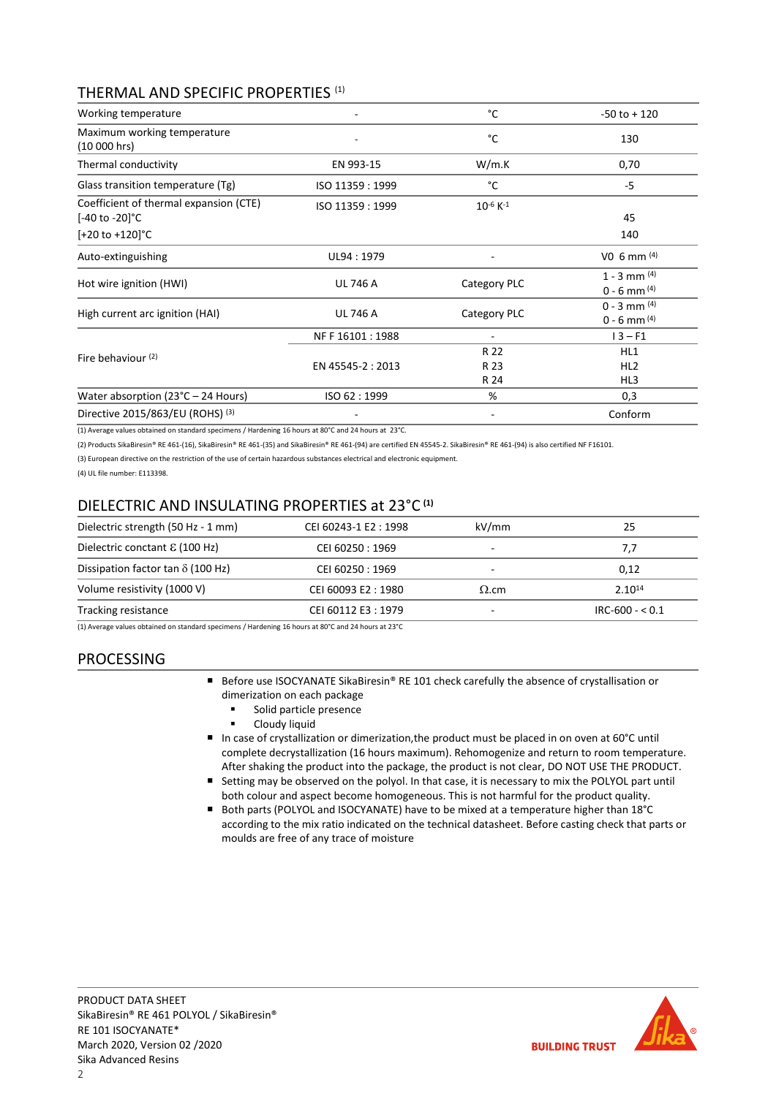## THERMAL AND SPECIFIC PROPERTIES (1)

| Working temperature                                                                     |                   | °C                        | $-50$ to $+120$                      |
|-----------------------------------------------------------------------------------------|-------------------|---------------------------|--------------------------------------|
| Maximum working temperature<br>(10 000 hrs)                                             |                   | °C                        | 130                                  |
| Thermal conductivity                                                                    | EN 993-15         | W/m.K                     | 0,70                                 |
| Glass transition temperature (Tg)                                                       | ISO 11359: 1999   | °C                        | -5                                   |
| Coefficient of thermal expansion (CTE)<br>[-40 to -20]°C<br>$[-20 \text{ to } +120]$ °C | ISO 11359: 1999   | $10^{-6}$ K <sup>-1</sup> | 45<br>140                            |
| Auto-extinguishing                                                                      | UL94: 1979        |                           | V <sub>0</sub> 6 mm $(4)$            |
| Hot wire ignition (HWI)                                                                 | <b>UL 746 A</b>   | Category PLC              | $1 - 3$ mm $(4)$<br>$0 - 6$ mm $(4)$ |
| High current arc ignition (HAI)                                                         | <b>UL 746 A</b>   | Category PLC              | $0 - 3$ mm $(4)$<br>$0 - 6$ mm $(4)$ |
|                                                                                         | NF F 16101 : 1988 |                           | $13 - F1$                            |
| Fire behaviour <sup>(2)</sup>                                                           | EN 45545-2: 2013  | R 22<br>R 23<br>R 24      | HL1<br>HL <sub>2</sub><br>HL3        |
| Water absorption ( $23^{\circ}$ C – 24 Hours)                                           | ISO 62:1999       | %                         | 0,3                                  |
| Directive 2015/863/EU (ROHS) (3)                                                        |                   |                           | Conform                              |

(1) Average values obtained on standard specimens / Hardening 16 hours at 80°C and 24 hours at 23°C.

(2) Products SikaBiresin® RE 461-(16), SikaBiresin® RE 461-(35) and SikaBiresin® RE 461-(94) are certified EN 45545-2. SikaBiresin® RE 461-(94) is also certified NF F16101.

(3) European directive on the restriction of the use of certain hazardous substances electrical and electronic equipment.

(4) UL file number: E113398.

## DIELECTRIC AND INSULATING PROPERTIES at 23°C **(1)**

| CEI 60243-1 E2: 1998 | kV/mm                                                                                                                                                                                                                          | 25                |
|----------------------|--------------------------------------------------------------------------------------------------------------------------------------------------------------------------------------------------------------------------------|-------------------|
| CEI 60250: 1969      | $\overline{\phantom{a}}$                                                                                                                                                                                                       | 7,7               |
| CEI 60250: 1969      | ۰                                                                                                                                                                                                                              | 0.12              |
| CEI 60093 E2:1980    | $\Omega$ .cm                                                                                                                                                                                                                   | $2.10^{14}$       |
| CEI 60112 E3:1979    |                                                                                                                                                                                                                                | $IRC-600 - < 0.1$ |
|                      | $\ell$ and the state of the state of the state of the state of the state of the state of the state of the state of the state of the state of the state of the state of the state of the state of the state of the state of the |                   |

(1) Average values obtained on standard specimens / Hardening 16 hours at 80°C and 24 hours at 23°C

## PROCESSING

- Before use ISOCYANATE SikaBiresin® RE 101 check carefully the absence of crystallisation or dimerization on each package
	- Solid particle presence
	- Cloudy liquid
- In case of crystallization or dimerization, the product must be placed in on oven at 60°C until complete decrystallization (16 hours maximum). Rehomogenize and return to room temperature. After shaking the product into the package, the product is not clear, DO NOT USE THE PRODUCT.
- Setting may be observed on the polyol. In that case, it is necessary to mix the POLYOL part until both colour and aspect become homogeneous. This is not harmful for the product quality.
- Both parts (POLYOL and ISOCYANATE) have to be mixed at a temperature higher than 18°C according to the mix ratio indicated on the technical datasheet. Before casting check that parts or moulds are free of any trace of moisture

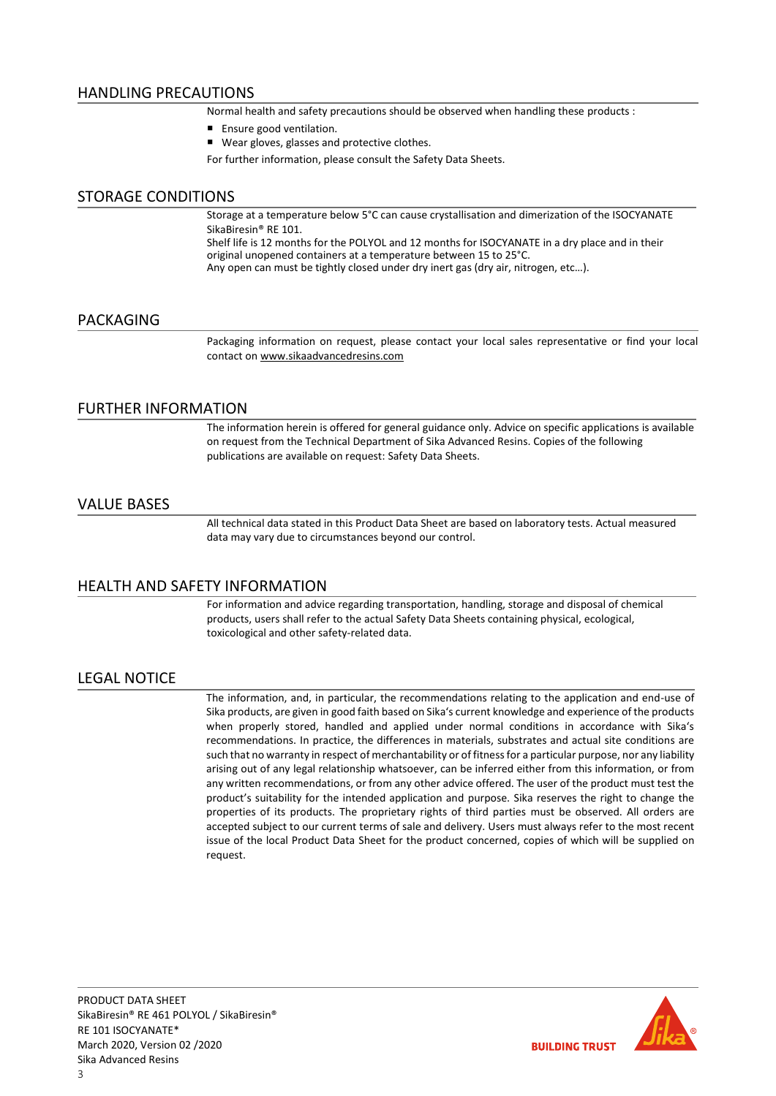## HANDLING PRECAUTIONS

Normal health and safety precautions should be observed when handling these products :

- Ensure good ventilation.
- Wear gloves, glasses and protective clothes.

For further information, please consult the Safety Data Sheets.

## STORAGE CONDITIONS

Storage at a temperature below 5°C can cause crystallisation and dimerization of the ISOCYANATE SikaBiresin® RE 101.

Shelf life is 12 months for the POLYOL and 12 months for ISOCYANATE in a dry place and in their original unopened containers at a temperature between 15 to 25°C.

Any open can must be tightly closed under dry inert gas (dry air, nitrogen, etc…).

#### PACKAGING

Packaging information on request, please contact your local sales representative or find your local contact on [www.sikaadvancedresins.com](http://www.sikaadvancedresins.com/)

### FURTHER INFORMATION

The information herein is offered for general guidance only. Advice on specific applications is available on request from the Technical Department of Sika Advanced Resins. Copies of the following publications are available on request: Safety Data Sheets.

### VALUE BASES

All technical data stated in this Product Data Sheet are based on laboratory tests. Actual measured data may vary due to circumstances beyond our control.

## HEALTH AND SAFETY INFORMATION

For information and advice regarding transportation, handling, storage and disposal of chemical products, users shall refer to the actual Safety Data Sheets containing physical, ecological, toxicological and other safety-related data.

## LEGAL NOTICE

The information, and, in particular, the recommendations relating to the application and end-use of Sika products, are given in good faith based on Sika's current knowledge and experience of the products when properly stored, handled and applied under normal conditions in accordance with Sika's recommendations. In practice, the differences in materials, substrates and actual site conditions are such that no warranty in respect of merchantability or of fitness for a particular purpose, nor any liability arising out of any legal relationship whatsoever, can be inferred either from this information, or from any written recommendations, or from any other advice offered. The user of the product must test the product's suitability for the intended application and purpose. Sika reserves the right to change the properties of its products. The proprietary rights of third parties must be observed. All orders are accepted subject to our current terms of sale and delivery. Users must always refer to the most recent issue of the local Product Data Sheet for the product concerned, copies of which will be supplied on request.